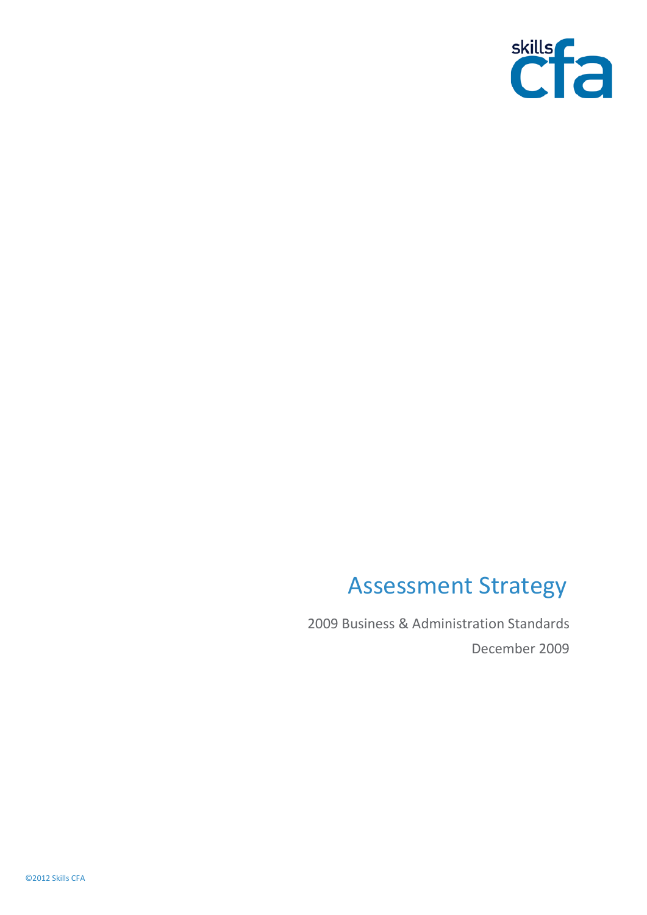

# Assessment Strategy

2009 Business & Administration Standards December 2009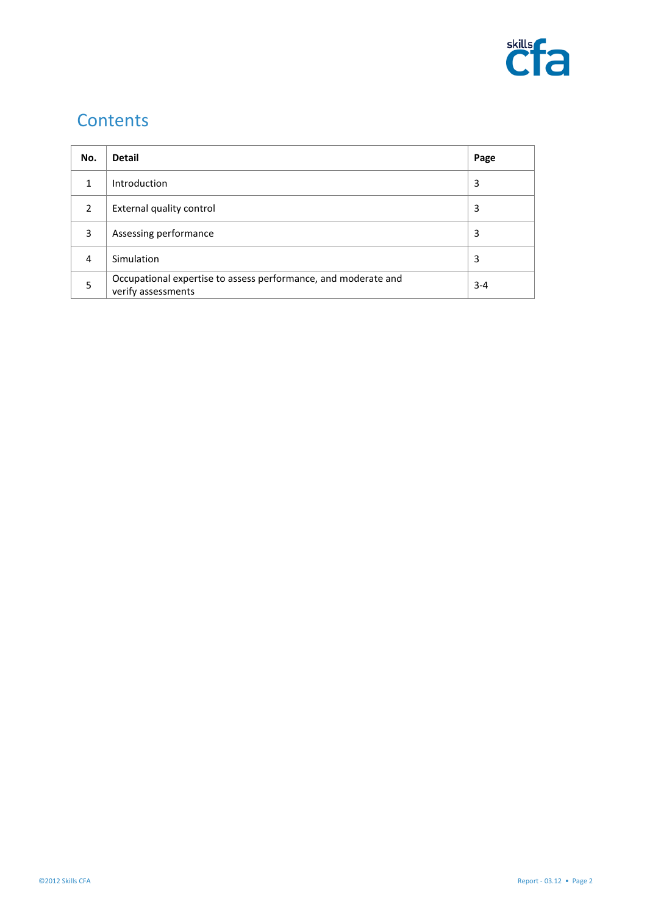

## **Contents**

| No.            | <b>Detail</b>                                                                        | Page    |
|----------------|--------------------------------------------------------------------------------------|---------|
| 1              | Introduction                                                                         | 3       |
| $\overline{2}$ | External quality control                                                             | 3       |
| 3              | Assessing performance                                                                | 3       |
| 4              | Simulation                                                                           | 3       |
| 5              | Occupational expertise to assess performance, and moderate and<br>verify assessments | $3 - 4$ |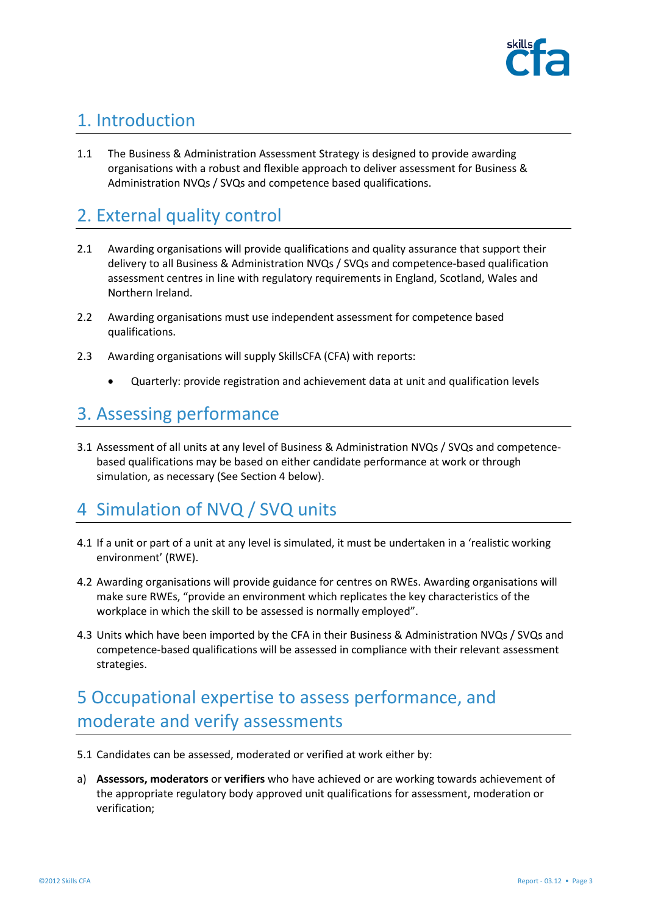

#### 1. Introduction

1.1 The Business & Administration Assessment Strategy is designed to provide awarding organisations with a robust and flexible approach to deliver assessment for Business & Administration NVQs / SVQs and competence based qualifications.

#### 2. External quality control

- 2.1 Awarding organisations will provide qualifications and quality assurance that support their delivery to all Business & Administration NVQs / SVQs and competence-based qualification assessment centres in line with regulatory requirements in England, Scotland, Wales and Northern Ireland.
- 2.2 Awarding organisations must use independent assessment for competence based qualifications.
- 2.3 Awarding organisations will supply SkillsCFA (CFA) with reports:
	- Quarterly: provide registration and achievement data at unit and qualification levels

### 3. Assessing performance

3.1 Assessment of all units at any level of Business & Administration NVQs / SVQs and competencebased qualifications may be based on either candidate performance at work or through simulation, as necessary (See Section 4 below).

### 4 Simulation of NVQ / SVQ units

- 4.1 If a unit or part of a unit at any level is simulated, it must be undertaken in a 'realistic working environment' (RWE).
- 4.2 Awarding organisations will provide guidance for centres on RWEs. Awarding organisations will make sure RWEs, "provide an environment which replicates the key characteristics of the workplace in which the skill to be assessed is normally employed".
- 4.3 Units which have been imported by the CFA in their Business & Administration NVQs / SVQs and competence-based qualifications will be assessed in compliance with their relevant assessment strategies.

## 5 Occupational expertise to assess performance, and moderate and verify assessments

- 5.1 Candidates can be assessed, moderated or verified at work either by:
- a) **Assessors, moderators** or **verifiers** who have achieved or are working towards achievement of the appropriate regulatory body approved unit qualifications for assessment, moderation or verification;